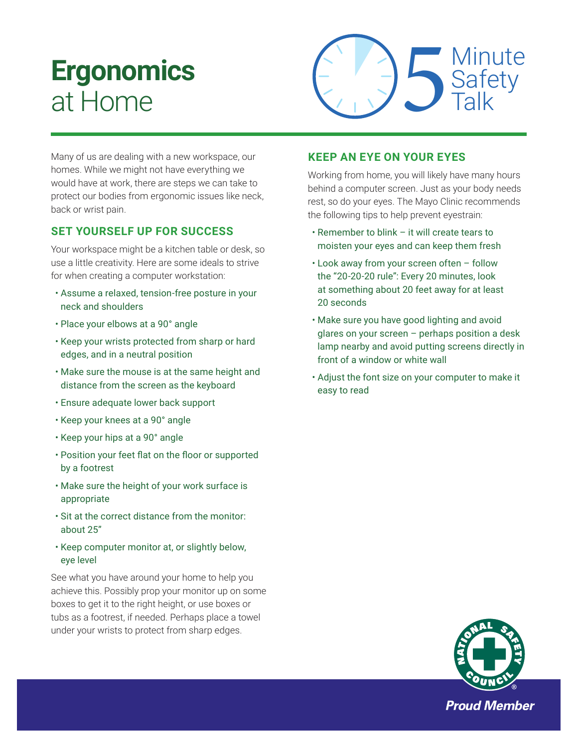## **Ergonomics**  at Home



Many of us are dealing with a new workspace, our homes. While we might not have everything we would have at work, there are steps we can take to protect our bodies from ergonomic issues like neck, back or wrist pain.

## **SET YOURSELF UP FOR SUCCESS**

Your workspace might be a kitchen table or desk, so use a little creativity. Here are some ideals to strive for when creating a computer workstation:

- Assume a relaxed, tension-free posture in your neck and shoulders
- Place your elbows at a 90° angle
- Keep your wrists protected from sharp or hard edges, and in a neutral position
- Make sure the mouse is at the same height and distance from the screen as the keyboard
- Ensure adequate lower back support
- Keep your knees at a 90° angle
- Keep your hips at a 90° angle
- Position your feet flat on the floor or supported by a footrest
- Make sure the height of your work surface is appropriate
- Sit at the correct distance from the monitor: about 25"
- Keep computer monitor at, or slightly below, eye level

See what you have around your home to help you achieve this. Possibly prop your monitor up on some boxes to get it to the right height, or use boxes or tubs as a footrest, if needed. Perhaps place a towel under your wrists to protect from sharp edges.

## **KEEP AN EYE ON YOUR EYES**

Working from home, you will likely have many hours behind a computer screen. Just as your body needs rest, so do your eyes. The Mayo Clinic recommends the following tips to help prevent eyestrain:

- Remember to blink it will create tears to moisten your eyes and can keep them fresh
- Look away from your screen often follow the "20-20-20 rule": Every 20 minutes, look at something about 20 feet away for at least 20 seconds
- Make sure you have good lighting and avoid glares on your screen – perhaps position a desk lamp nearby and avoid putting screens directly in front of a window or white wall
- Adjust the font size on your computer to make it easy to read



**Proud Member**